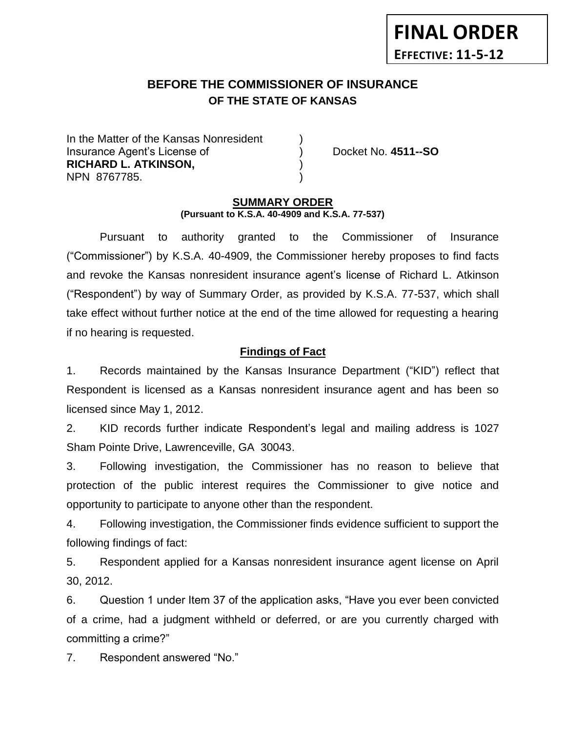# **BEFORE THE COMMISSIONER OF INSURANCE** *-12***OF THE STATE OF KANSAS**

In the Matter of the Kansas Nonresident Insurance Agent's License of ) Docket No. **4511--SO RICHARD L. ATKINSON,** ) NPN 8767785. )

**FINAL ORDER**

**EFFECTIVE: 11-5-12**

#### **SUMMARY ORDER (Pursuant to K.S.A. 40-4909 and K.S.A. 77-537)**

Pursuant to authority granted to the Commissioner of Insurance ("Commissioner") by K.S.A. 40-4909, the Commissioner hereby proposes to find facts and revoke the Kansas nonresident insurance agent's license of Richard L. Atkinson ("Respondent") by way of Summary Order, as provided by K.S.A. 77-537, which shall take effect without further notice at the end of the time allowed for requesting a hearing if no hearing is requested.

### **Findings of Fact**

1. Records maintained by the Kansas Insurance Department ("KID") reflect that Respondent is licensed as a Kansas nonresident insurance agent and has been so licensed since May 1, 2012.

2. KID records further indicate Respondent's legal and mailing address is 1027 Sham Pointe Drive, Lawrenceville, GA 30043.

3. Following investigation, the Commissioner has no reason to believe that protection of the public interest requires the Commissioner to give notice and opportunity to participate to anyone other than the respondent.

4. Following investigation, the Commissioner finds evidence sufficient to support the following findings of fact:

5. Respondent applied for a Kansas nonresident insurance agent license on April 30, 2012.

6. Question 1 under Item 37 of the application asks, "Have you ever been convicted of a crime, had a judgment withheld or deferred, or are you currently charged with committing a crime?"

7. Respondent answered "No."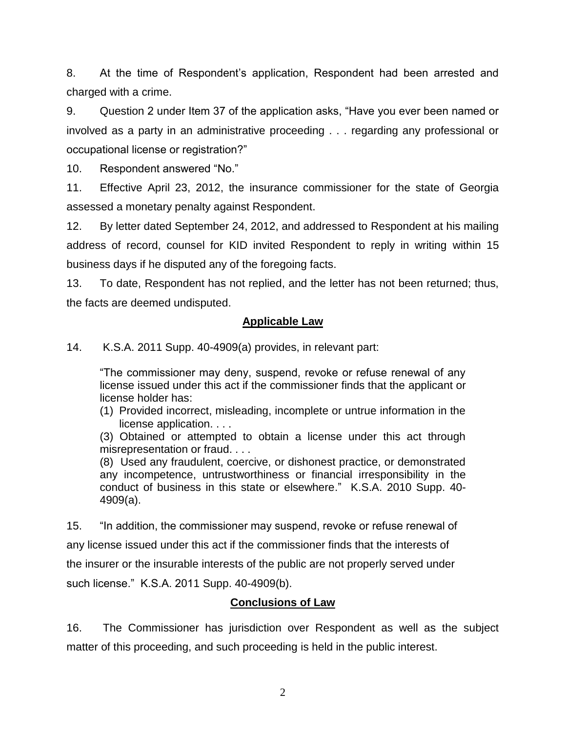8. At the time of Respondent's application, Respondent had been arrested and charged with a crime.

9. Question 2 under Item 37 of the application asks, "Have you ever been named or involved as a party in an administrative proceeding . . . regarding any professional or occupational license or registration?"

10. Respondent answered "No."

11. Effective April 23, 2012, the insurance commissioner for the state of Georgia assessed a monetary penalty against Respondent.

12. By letter dated September 24, 2012, and addressed to Respondent at his mailing address of record, counsel for KID invited Respondent to reply in writing within 15 business days if he disputed any of the foregoing facts.

13. To date, Respondent has not replied, and the letter has not been returned; thus, the facts are deemed undisputed.

## **Applicable Law**

14. K.S.A. 2011 Supp. 40-4909(a) provides, in relevant part:

"The commissioner may deny, suspend, revoke or refuse renewal of any license issued under this act if the commissioner finds that the applicant or license holder has:

(1) Provided incorrect, misleading, incomplete or untrue information in the license application. . . .

(3) Obtained or attempted to obtain a license under this act through misrepresentation or fraud. . . .

(8) Used any fraudulent, coercive, or dishonest practice, or demonstrated any incompetence, untrustworthiness or financial irresponsibility in the conduct of business in this state or elsewhere." K.S.A. 2010 Supp. 40- 4909(a).

15. "In addition, the commissioner may suspend, revoke or refuse renewal of any license issued under this act if the commissioner finds that the interests of the insurer or the insurable interests of the public are not properly served under such license." K.S.A. 2011 Supp. 40-4909(b).

# **Conclusions of Law**

16. The Commissioner has jurisdiction over Respondent as well as the subject matter of this proceeding, and such proceeding is held in the public interest.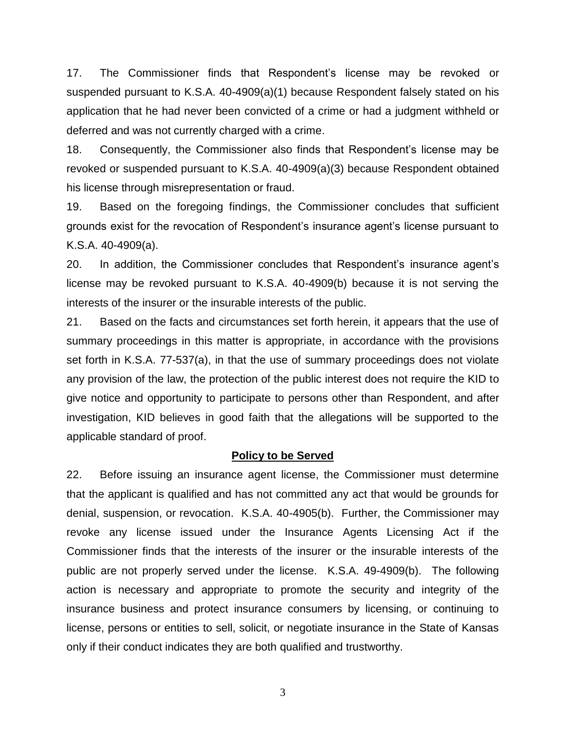17. The Commissioner finds that Respondent's license may be revoked or suspended pursuant to K.S.A. 40-4909(a)(1) because Respondent falsely stated on his application that he had never been convicted of a crime or had a judgment withheld or deferred and was not currently charged with a crime.

18. Consequently, the Commissioner also finds that Respondent's license may be revoked or suspended pursuant to K.S.A. 40-4909(a)(3) because Respondent obtained his license through misrepresentation or fraud.

19. Based on the foregoing findings, the Commissioner concludes that sufficient grounds exist for the revocation of Respondent's insurance agent's license pursuant to K.S.A. 40-4909(a).

20. In addition, the Commissioner concludes that Respondent's insurance agent's license may be revoked pursuant to K.S.A. 40-4909(b) because it is not serving the interests of the insurer or the insurable interests of the public.

21. Based on the facts and circumstances set forth herein, it appears that the use of summary proceedings in this matter is appropriate, in accordance with the provisions set forth in K.S.A. 77-537(a), in that the use of summary proceedings does not violate any provision of the law, the protection of the public interest does not require the KID to give notice and opportunity to participate to persons other than Respondent, and after investigation, KID believes in good faith that the allegations will be supported to the applicable standard of proof.

### **Policy to be Served**

22. Before issuing an insurance agent license, the Commissioner must determine that the applicant is qualified and has not committed any act that would be grounds for denial, suspension, or revocation. K.S.A. 40-4905(b). Further, the Commissioner may revoke any license issued under the Insurance Agents Licensing Act if the Commissioner finds that the interests of the insurer or the insurable interests of the public are not properly served under the license. K.S.A. 49-4909(b). The following action is necessary and appropriate to promote the security and integrity of the insurance business and protect insurance consumers by licensing, or continuing to license, persons or entities to sell, solicit, or negotiate insurance in the State of Kansas only if their conduct indicates they are both qualified and trustworthy.

3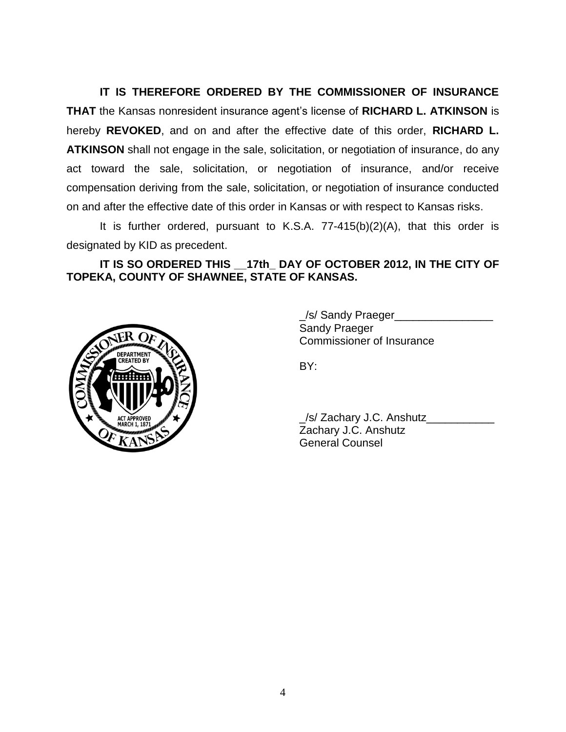**IT IS THEREFORE ORDERED BY THE COMMISSIONER OF INSURANCE THAT** the Kansas nonresident insurance agent's license of **RICHARD L. ATKINSON** is hereby **REVOKED**, and on and after the effective date of this order, **RICHARD L. ATKINSON** shall not engage in the sale, solicitation, or negotiation of insurance, do any act toward the sale, solicitation, or negotiation of insurance, and/or receive compensation deriving from the sale, solicitation, or negotiation of insurance conducted on and after the effective date of this order in Kansas or with respect to Kansas risks.

It is further ordered, pursuant to K.S.A. 77-415(b)(2)(A), that this order is designated by KID as precedent.

**IT IS SO ORDERED THIS \_\_17th\_ DAY OF OCTOBER 2012, IN THE CITY OF TOPEKA, COUNTY OF SHAWNEE, STATE OF KANSAS.**



\_/s/ Sandy Praeger\_\_\_\_\_\_\_\_\_\_\_\_\_\_\_\_ Sandy Praeger Commissioner of Insurance

BY:

| S/ Zachary J.C. Anshutz |  |
|-------------------------|--|
| Zachary J.C. Anshutz    |  |
| <b>General Counsel</b>  |  |